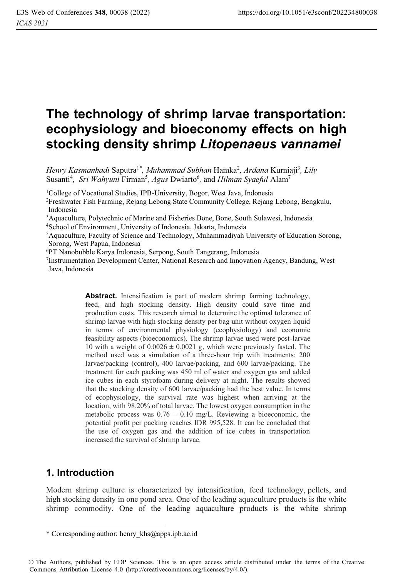# **The technology of shrimp larvae transportation: ecophysiology and bioeconomy effects on high stocking density shrimp** *Litopenaeus vannamei*

*Henry Kasmanhadi Saputra<sup>1\*</sup>, Muhammad Subhan Hamka<sup>2</sup>, Ardana Kurniaji<sup>3</sup>, Lily* Susanti<sup>4</sup>, Sri Wahyuni Firman<sup>5</sup>, Agus Dwiarto<sup>6</sup>, and Hilman Syaeful Alam<sup>7</sup>

<sup>1</sup>College of Vocational Studies, IPB-University, Bogor, West Java, Indonesia

2Freshwater Fish Farming, Rejang Lebong State Community College, Rejang Lebong, Bengkulu, Indonesia

3Aquaculture, Polytechnic of Marine and Fisheries Bone, Bone, South Sulawesi, Indonesia

4School of Environment, University of Indonesia, Jakarta, Indonesia

5 Aquaculture, Faculty of Science and Technology, Muhammadiyah University of Education Sorong, Sorong, West Papua, Indonesia

6PT Nanobubble Karya Indonesia, Serpong, South Tangerang, Indonesia

7Instrumentation Development Center, National Research and Innovation Agency, Bandung, West Java, Indonesia

> Abstract. Intensification is part of modern shrimp farming technology, feed, and high stocking density. High density could save time and production costs. This research aimed to determine the optimal tolerance of shrimp larvae with high stocking density per bag unit without oxygen liquid in terms of environmental physiology (ecophysiology) and economic feasibility aspects (bioeconomics). The shrimp larvae used were post-larvae 10 with a weight of  $0.0026 \pm 0.0021$  g, which were previously fasted. The method used was a simulation of a three-hour trip with treatments: 200 larvae/packing (control), 400 larvae/packing, and 600 larvae/packing. The treatment for each packing was 450 ml of water and oxygen gas and added ice cubes in each styrofoam during delivery at night. The results showed that the stocking density of 600 larvae/packing had the best value. In terms of ecophysiology, the survival rate was highest when arriving at the location, with 98.20% of total larvae. The lowest oxygen consumption in the metabolic process was  $0.76 \pm 0.10$  mg/L. Reviewing a bioeconomic, the potential profit per packing reaches IDR 995,528. It can be concluded that the use of oxygen gas and the addition of ice cubes in transportation increased the survival of shrimp larvae.

# **1. Introduction**

Modern shrimp culture is characterized by intensification, feed technology, pellets, and high stocking density in one pond area. One of the leading aquaculture products is the white shrimp commodity. One of the leading aquaculture products is the white shrimp

<sup>\*</sup> Corresponding author: henry\_khs@apps.ipb.ac.id

<sup>©</sup> The Authors, published by EDP Sciences. This is an open access article distributed under the terms of the Creative Commons Attribution License 4.0 (http://creativecommons.org/licenses/by/4.0/).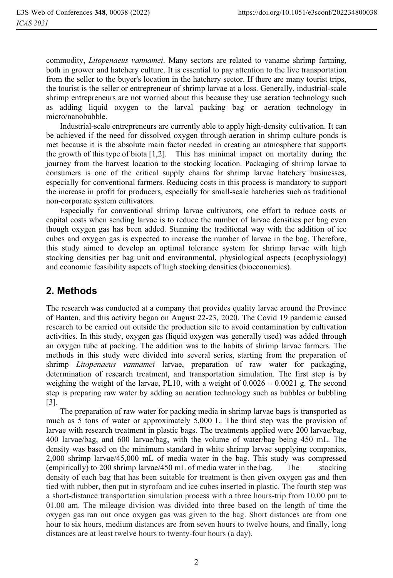commodity, *Litopenaeus vannamei*. Many sectors are related to vaname shrimp farming, both in grower and hatchery culture. It is essential to pay attention to the live transportation from the seller to the buyer's location in the hatchery sector. If there are many tourist trips, the tourist is the seller or entrepreneur of shrimp larvae at a loss. Generally, industrial-scale shrimp entrepreneurs are not worried about this because they use aeration technology such as adding liquid oxygen to the larval packing bag or aeration technology in micro/nanobubble.

 Industrial-scale entrepreneurs are currently able to apply high-density cultivation. It can be achieved if the need for dissolved oxygen through aeration in shrimp culture ponds is met because it is the absolute main factor needed in creating an atmosphere that supports the growth of this type of biota [1,2]. This has minimal impact on mortality during the journey from the harvest location to the stocking location. Packaging of shrimp larvae to consumers is one of the critical supply chains for shrimp larvae hatchery businesses, especially for conventional farmers. Reducing costs in this process is mandatory to support the increase in profit for producers, especially for small-scale hatcheries such as traditional non-corporate system cultivators.

 Especially for conventional shrimp larvae cultivators, one effort to reduce costs or capital costs when sending larvae is to reduce the number of larvae densities per bag even though oxygen gas has been added. Stunning the traditional way with the addition of ice cubes and oxygen gas is expected to increase the number of larvae in the bag. Therefore, this study aimed to develop an optimal tolerance system for shrimp larvae with high stocking densities per bag unit and environmental, physiological aspects (ecophysiology) and economic feasibility aspects of high stocking densities (bioeconomics).

## **2. Methods**

The research was conducted at a company that provides quality larvae around the Province of Banten, and this activity began on August 22-23, 2020. The Covid 19 pandemic caused research to be carried out outside the production site to avoid contamination by cultivation activities. In this study, oxygen gas (liquid oxygen was generally used) was added through an oxygen tube at packing. The addition was to the habits of shrimp larvae farmers. The methods in this study were divided into several series, starting from the preparation of shrimp *Litopenaeus vannamei* larvae, preparation of raw water for packaging, determination of research treatment, and transportation simulation. The first step is by weighing the weight of the larvae, PL10, with a weight of  $0.0026 \pm 0.0021$  g. The second step is preparing raw water by adding an aeration technology such as bubbles or bubbling [3].

 The preparation of raw water for packing media in shrimp larvae bags is transported as much as 5 tons of water or approximately 5,000 L. The third step was the provision of larvae with research treatment in plastic bags. The treatments applied were 200 larvae/bag, 400 larvae/bag, and 600 larvae/bag, with the volume of water/bag being 450 mL. The density was based on the minimum standard in white shrimp larvae supplying companies, 2,000 shrimp larvae/45,000 mL of media water in the bag. This study was compressed (empirically) to 200 shrimp larvae/450 mL of media water in the bag. The stocking density of each bag that has been suitable for treatment is then given oxygen gas and then tied with rubber, then put in styrofoam and ice cubes inserted in plastic. The fourth step was a short-distance transportation simulation process with a three hours-trip from 10.00 pm to 01.00 am. The mileage division was divided into three based on the length of time the oxygen gas ran out once oxygen gas was given to the bag. Short distances are from one hour to six hours, medium distances are from seven hours to twelve hours, and finally, long distances are at least twelve hours to twenty-four hours (a day).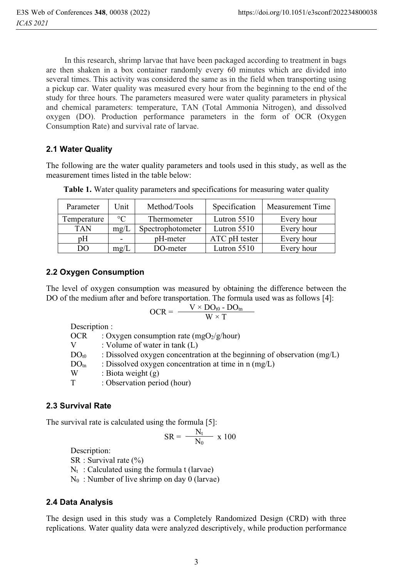In this research, shrimp larvae that have been packaged according to treatment in bags are then shaken in a box container randomly every 60 minutes which are divided into several times. This activity was considered the same as in the field when transporting using a pickup car. Water quality was measured every hour from the beginning to the end of the study for three hours. The parameters measured were water quality parameters in physical and chemical parameters: temperature, TAN (Total Ammonia Nitrogen), and dissolved oxygen (DO). Production performance parameters in the form of OCR (Oxygen Consumption Rate) and survival rate of larvae.

### **2.1 Water Quality**

The following are the water quality parameters and tools used in this study, as well as the measurement times listed in the table below:

| Parameter   | Unit                     | Method/Tools      | Specification | <b>Measurement Time</b> |
|-------------|--------------------------|-------------------|---------------|-------------------------|
| Temperature | $\rm ^{\circ}C$          | Thermometer       | Lutron $5510$ | Every hour              |
| <b>TAN</b>  | mg/L                     | Spectrophotometer | Lutron $5510$ | Every hour              |
| pΗ          | $\overline{\phantom{a}}$ | pH-meter          | ATC pH tester | Every hour              |
| DO          | mg/L                     | DO-meter          | Lutron $5510$ | Every hour              |

**Table 1.** Water quality parameters and specifications for measuring water quality

#### **2.2 Oxygen Consumption**

The level of oxygen consumption was measured by obtaining the difference between the DO of the medium after and before transportation. The formula used was as follows [4]:

$$
OCR = \frac{V \times DO_{t0} - DO_{tn}}{W \times T}
$$

Description :

| OCR              | : Oxygen consumption rate (mgO <sub>2</sub> /g/hour)                      |
|------------------|---------------------------------------------------------------------------|
| V                | : Volume of water in tank $(L)$                                           |
| DO <sub>t0</sub> | : Dissolved oxygen concentration at the beginning of observation $(mg/L)$ |
| $DO_{tn}$        | : Dissolved oxygen concentration at time in $n \text{ (mg/L)}$            |
| W                | : Biota weight $(g)$                                                      |
| T                | : Observation period (hour)                                               |
|                  |                                                                           |

#### **2.3 Survival Rate**

The survival rate is calculated using the formula [5]:

$$
SR = \frac{N_t}{N_0} \times 100
$$

Description:

SR : Survival rate  $(\% )$ 

 $N_t$ : Calculated using the formula t (larvae)

 $N_0$ : Number of live shrimp on day 0 (larvae)

#### **2.4 Data Analysis**

The design used in this study was a Completely Randomized Design (CRD) with three replications. Water quality data were analyzed descriptively, while production performance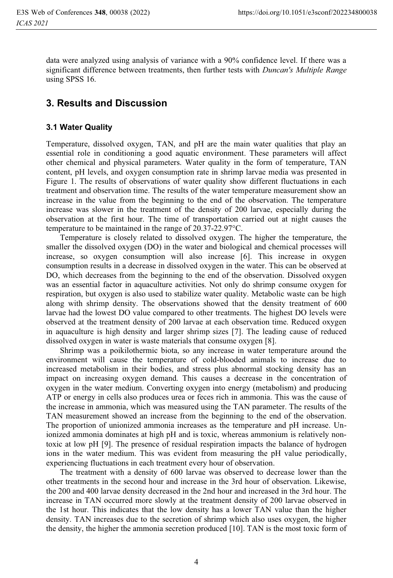data were analyzed using analysis of variance with a 90% confidence level. If there was a significant difference between treatments, then further tests with *Duncan's Multiple Range* using SPSS 16.

## **3. Results and Discussion**

#### **3.1 Water Quality**

Temperature, dissolved oxygen, TAN, and pH are the main water qualities that play an essential role in conditioning a good aquatic environment. These parameters will affect other chemical and physical parameters. Water quality in the form of temperature, TAN content, pH levels, and oxygen consumption rate in shrimp larvae media was presented in Figure 1. The results of observations of water quality show different fluctuations in each treatment and observation time. The results of the water temperature measurement show an increase in the value from the beginning to the end of the observation. The temperature increase was slower in the treatment of the density of 200 larvae, especially during the observation at the first hour. The time of transportation carried out at night causes the temperature to be maintained in the range of 20.37-22.97°C.

 Temperature is closely related to dissolved oxygen. The higher the temperature, the smaller the dissolved oxygen (DO) in the water and biological and chemical processes will increase, so oxygen consumption will also increase [6]. This increase in oxygen consumption results in a decrease in dissolved oxygen in the water. This can be observed at DO, which decreases from the beginning to the end of the observation. Dissolved oxygen was an essential factor in aquaculture activities. Not only do shrimp consume oxygen for respiration, but oxygen is also used to stabilize water quality. Metabolic waste can be high along with shrimp density. The observations showed that the density treatment of 600 larvae had the lowest DO value compared to other treatments. The highest DO levels were observed at the treatment density of 200 larvae at each observation time. Reduced oxygen in aquaculture is high density and larger shrimp sizes [7]. The leading cause of reduced dissolved oxygen in water is waste materials that consume oxygen [8].

 Shrimp was a poikilothermic biota, so any increase in water temperature around the environment will cause the temperature of cold-blooded animals to increase due to increased metabolism in their bodies, and stress plus abnormal stocking density has an impact on increasing oxygen demand. This causes a decrease in the concentration of oxygen in the water medium. Converting oxygen into energy (metabolism) and producing ATP or energy in cells also produces urea or feces rich in ammonia. This was the cause of the increase in ammonia, which was measured using the TAN parameter. The results of the TAN measurement showed an increase from the beginning to the end of the observation. The proportion of unionized ammonia increases as the temperature and pH increase. Unionized ammonia dominates at high pH and is toxic, whereas ammonium is relatively nontoxic at low pH [9]. The presence of residual respiration impacts the balance of hydrogen ions in the water medium. This was evident from measuring the pH value periodically, experiencing fluctuations in each treatment every hour of observation.

The treatment with a density of 600 larvae was observed to decrease lower than the other treatments in the second hour and increase in the 3rd hour of observation. Likewise, the 200 and 400 larvae density decreased in the 2nd hour and increased in the 3rd hour. The increase in TAN occurred more slowly at the treatment density of 200 larvae observed in the 1st hour. This indicates that the low density has a lower TAN value than the higher density. TAN increases due to the secretion of shrimp which also uses oxygen, the higher the density, the higher the ammonia secretion produced [10]. TAN is the most toxic form of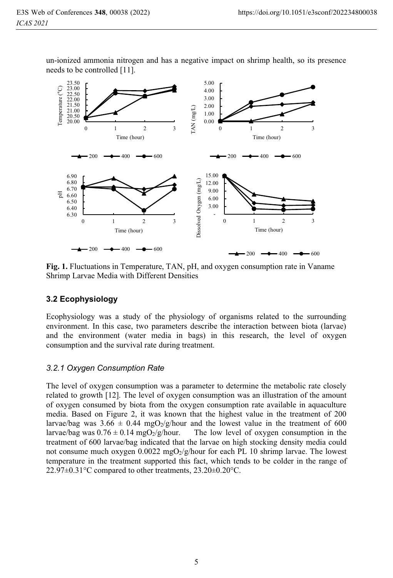un-ionized ammonia nitrogen and has a negative impact on shrimp health, so its presence needs to be controlled [11].



**Fig. 1.** Fluctuations in Temperature, TAN, pH, and oxygen consumption rate in Vaname Shrimp Larvae Media with Different Densities

#### **3.2 Ecophysiology**

Ecophysiology was a study of the physiology of organisms related to the surrounding environment. In this case, two parameters describe the interaction between biota (larvae) and the environment (water media in bags) in this research, the level of oxygen consumption and the survival rate during treatment.

# *3.2.1 Oxygen Consumption Rate*

The level of oxygen consumption was a parameter to determine the metabolic rate closely related to growth [12]. The level of oxygen consumption was an illustration of the amount of oxygen consumed by biota from the oxygen consumption rate available in aquaculture media. Based on Figure 2, it was known that the highest value in the treatment of 200 larvae/bag was  $3.66 \pm 0.44$  mgO<sub>2</sub>/g/hour and the lowest value in the treatment of 600 larvae/bag was  $0.76 \pm 0.14$  mgO<sub>2</sub>/g/hour. The low level of oxygen consumption in the The low level of oxygen consumption in the treatment of 600 larvae/bag indicated that the larvae on high stocking density media could not consume much oxygen  $0.0022 \text{ mgO}_2/\text{g/h}$ our for each PL 10 shrimp larvae. The lowest temperature in the treatment supported this fact, which tends to be colder in the range of 22.97±0.31°C compared to other treatments, 23.20±0.20°C.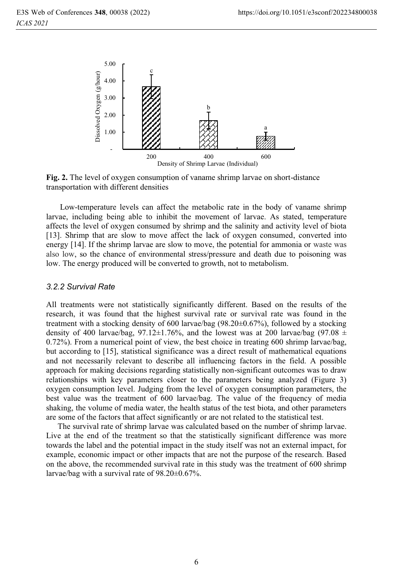

**Fig. 2.** The level of oxygen consumption of vaname shrimp larvae on short-distance transportation with different densities

 Low-temperature levels can affect the metabolic rate in the body of vaname shrimp larvae, including being able to inhibit the movement of larvae. As stated, temperature affects the level of oxygen consumed by shrimp and the salinity and activity level of biota [13]. Shrimp that are slow to move affect the lack of oxygen consumed, converted into energy [14]. If the shrimp larvae are slow to move, the potential for ammonia or waste was also low, so the chance of environmental stress/pressure and death due to poisoning was low. The energy produced will be converted to growth, not to metabolism.

All treatments were not statistically significantly different. Based on the results of the research, it was found that the highest survival rate or survival rate was found in the treatment with a stocking density of 600 larvae/bag (98.20±0.67%), followed by a stocking density of 400 larvae/bag, 97.12 $\pm$ 1.76%, and the lowest was at 200 larvae/bag (97.08  $\pm$ 0.72%). From a numerical point of view, the best choice in treating 600 shrimp larvae/bag, but according to [15], statistical significance was a direct result of mathematical equations and not necessarily relevant to describe all influencing factors in the field. A possible approach for making decisions regarding statistically non-significant outcomes was to draw relationships with key parameters closer to the parameters being analyzed (Figure 3) oxygen consumption level. Judging from the level of oxygen consumption parameters, the best value was the treatment of 600 larvae/bag. The value of the frequency of media shaking, the volume of media water, the health status of the test biota, and other parameters are some of the factors that affect significantly or are not related to the statistical test.

The survival rate of shrimp larvae was calculated based on the number of shrimp larvae. Live at the end of the treatment so that the statistically significant difference was more towards the label and the potential impact in the study itself was not an external impact, for example, economic impact or other impacts that are not the purpose of the research. Based on the above, the recommended survival rate in this study was the treatment of 600 shrimp larvae/bag with a survival rate of 98.20±0.67%.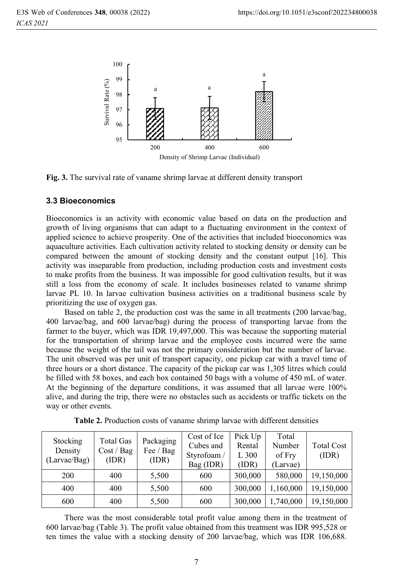

**Fig. 3.** The survival rate of vaname shrimp larvae at different density transport

#### **3.3 Bioeconomics**

Bioeconomics is an activity with economic value based on data on the production and growth of living organisms that can adapt to a fluctuating environment in the context of applied science to achieve prosperity. One of the activities that included bioeconomics was aquaculture activities. Each cultivation activity related to stocking density or density can be compared between the amount of stocking density and the constant output [16]. This activity was inseparable from production, including production costs and investment costs to make profits from the business. It was impossible for good cultivation results, but it was still a loss from the economy of scale. It includes businesses related to vaname shrimp larvae PL 10. In larvae cultivation business activities on a traditional business scale by prioritizing the use of oxygen gas.

 Based on table 2, the production cost was the same in all treatments (200 larvae/bag, 400 larvae/bag, and 600 larvae/bag) during the process of transporting larvae from the farmer to the buyer, which was IDR 19,497,000. This was because the supporting material for the transportation of shrimp larvae and the employee costs incurred were the same because the weight of the tail was not the primary consideration but the number of larvae. The unit observed was per unit of transport capacity, one pickup car with a travel time of three hours or a short distance. The capacity of the pickup car was 1,305 litres which could be filled with 58 boxes, and each box contained 50 bags with a volume of 450 mL of water. At the beginning of the departure conditions, it was assumed that all larvae were 100% alive, and during the trip, there were no obstacles such as accidents or traffic tickets on the way or other events.

| Stocking<br>Density<br>(Larvae/Bag) | Total Gas<br>Cost / Bag<br>(IDR) | Packaging<br>Fee / Bag<br>(IDR) | Cost of Ice<br>Cubes and<br>Styrofoam /<br>Bag (IDR) | Pick Up<br>Rental<br>$L_{300}$<br>(IDR) | Total<br>Number<br>of Fry<br>(Larvae) | <b>Total Cost</b><br>(IDR) |
|-------------------------------------|----------------------------------|---------------------------------|------------------------------------------------------|-----------------------------------------|---------------------------------------|----------------------------|
| <b>200</b>                          | 400                              | 5,500                           | 600                                                  | 300,000                                 | 580,000                               | 19,150,000                 |
| 400                                 | 400                              | 5,500                           | 600                                                  | 300,000                                 | 1,160,000                             | 19,150,000                 |
| 600                                 | 400                              | 5,500                           | 600                                                  | 300,000                                 | 1,740,000                             | 19,150,000                 |

| Table 2. Production costs of vaname shrimp larvae with different densities |  |  |  |  |
|----------------------------------------------------------------------------|--|--|--|--|
|                                                                            |  |  |  |  |

 There was the most considerable total profit value among them in the treatment of 600 larvae/bag (Table 3). The profit value obtained from this treatment was IDR 995,528 or ten times the value with a stocking density of 200 larvae/bag, which was IDR 106,688.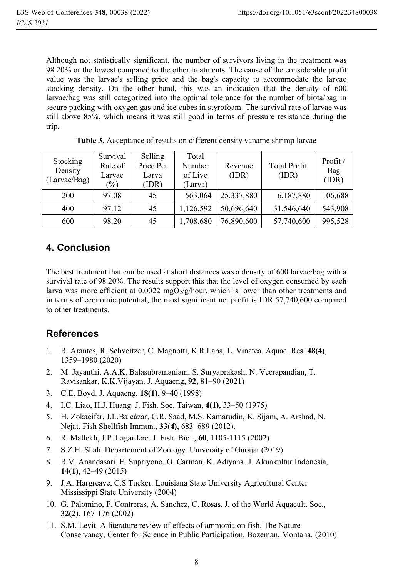Although not statistically significant, the number of survivors living in the treatment was 98.20% or the lowest compared to the other treatments. The cause of the considerable profit value was the larvae's selling price and the bag's capacity to accommodate the larvae stocking density. On the other hand, this was an indication that the density of 600 larvae/bag was still categorized into the optimal tolerance for the number of biota/bag in secure packing with oxygen gas and ice cubes in styrofoam. The survival rate of larvae was still above 85%, which means it was still good in terms of pressure resistance during the trip.

| Stocking<br>Density<br>(Larvae/Bag) | Survival<br>Rate of<br>Larvae<br>$(\%)$ | Selling<br>Price Per<br>Larva<br>(IDR) | Total<br>Number<br>of Live<br>(Larva) | Revenue<br>(IDR) | <b>Total Profit</b><br>(IDR) | Profit/<br>Bag<br>(IDR) |
|-------------------------------------|-----------------------------------------|----------------------------------------|---------------------------------------|------------------|------------------------------|-------------------------|
| 200                                 | 97.08                                   | 45                                     | 563,064                               | 25,337,880       | 6,187,880                    | 106,688                 |
| 400                                 | 97.12                                   | 45                                     | 1,126,592                             | 50,696,640       | 31,546,640                   | 543,908                 |
| 600                                 | 98.20                                   | 45                                     | 1,708,680                             | 76,890,600       | 57,740,600                   | 995,528                 |

**Table 3.** Acceptance of results on different density vaname shrimp larvae

# **4. Conclusion**

The best treatment that can be used at short distances was a density of 600 larvae/bag with a survival rate of 98.20%. The results support this that the level of oxygen consumed by each larva was more efficient at 0.0022 mgO<sub>2</sub>/g/hour, which is lower than other treatments and in terms of economic potential, the most significant net profit is IDR 57,740,600 compared to other treatments.

# **References**

- 1. R. Arantes, R. Schveitzer, C. Magnotti, K.R.Lapa, L. Vinatea. Aquac. Res. **48(4)**, 1359–1980 (2020)
- 2. M. Jayanthi, A.A.K. Balasubramaniam, S. Suryaprakash, N. Veerapandian, T. Ravisankar, K.K.Vijayan. J. Aquaeng, **92**, 81–90 (2021)
- 3. C.E. Boyd. J. Aquaeng, **18(1)**, 9–40 (1998)
- 4. I.C. Liao, H.J. Huang. J. Fish. Soc. Taiwan, **4(1)**, 33–50 (1975)
- 5. H. Zokaeifar, J.L.Balcázar, C.R. Saad, M.S. Kamarudin, K. Sijam, A. Arshad, N. Nejat. Fish Shellfish Immun., **33(4)**, 683–689 (2012).
- 6. R. Mallekh, J.P. Lagardere. J. Fish. Biol., **60**, 1105-1115 (2002)
- S.Z.H. Shah. Departement of Zoology. University of Gurajat (2019)
- 8. R.V. Anandasari, E. Supriyono, O. Carman, K. Adiyana. J. Akuakultur Indonesia, **14(1)**, 42–49 (2015)
- 9. J.A. Hargreave, C.S.Tucker. Louisiana State University Agricultural Center Mississippi State University (2004)
- 10. G. Palomino, F. Contreras, A. Sanchez, C. Rosas. J. of the World Aquacult. Soc., **32(2)**, 167-176 (2002)
- 11. S.M. Levit. A literature review of effects of ammonia on fish. The Nature Conservancy, Center for Science in Public Participation, Bozeman, Montana. (2010)